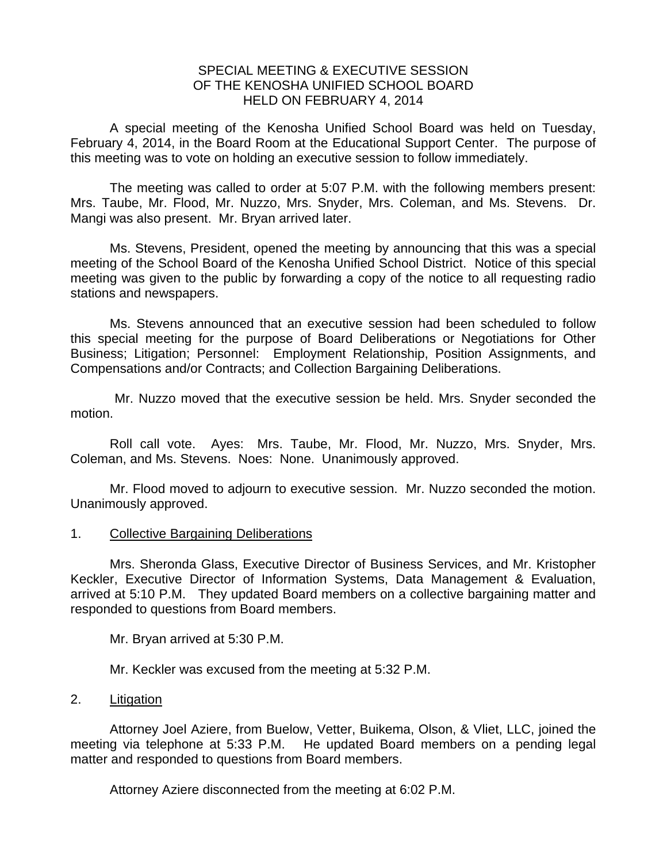### SPECIAL MEETING & EXECUTIVE SESSION OF THE KENOSHA UNIFIED SCHOOL BOARD HELD ON FEBRUARY 4, 2014

A special meeting of the Kenosha Unified School Board was held on Tuesday, February 4, 2014, in the Board Room at the Educational Support Center. The purpose of this meeting was to vote on holding an executive session to follow immediately.

 The meeting was called to order at 5:07 P.M. with the following members present: Mrs. Taube, Mr. Flood, Mr. Nuzzo, Mrs. Snyder, Mrs. Coleman, and Ms. Stevens. Dr. Mangi was also present. Mr. Bryan arrived later.

 Ms. Stevens, President, opened the meeting by announcing that this was a special meeting of the School Board of the Kenosha Unified School District. Notice of this special meeting was given to the public by forwarding a copy of the notice to all requesting radio stations and newspapers.

 Ms. Stevens announced that an executive session had been scheduled to follow this special meeting for the purpose of Board Deliberations or Negotiations for Other Business; Litigation; Personnel: Employment Relationship, Position Assignments, and Compensations and/or Contracts; and Collection Bargaining Deliberations.

 Mr. Nuzzo moved that the executive session be held. Mrs. Snyder seconded the motion.

 Roll call vote. Ayes: Mrs. Taube, Mr. Flood, Mr. Nuzzo, Mrs. Snyder, Mrs. Coleman, and Ms. Stevens. Noes: None. Unanimously approved.

 Mr. Flood moved to adjourn to executive session. Mr. Nuzzo seconded the motion. Unanimously approved.

### 1. Collective Bargaining Deliberations

 Mrs. Sheronda Glass, Executive Director of Business Services, and Mr. Kristopher Keckler, Executive Director of Information Systems, Data Management & Evaluation, arrived at 5:10 P.M. They updated Board members on a collective bargaining matter and responded to questions from Board members.

Mr. Bryan arrived at 5:30 P.M.

Mr. Keckler was excused from the meeting at 5:32 P.M.

### 2. Litigation

 Attorney Joel Aziere, from Buelow, Vetter, Buikema, Olson, & Vliet, LLC, joined the meeting via telephone at 5:33 P.M. He updated Board members on a pending legal matter and responded to questions from Board members.

Attorney Aziere disconnected from the meeting at 6:02 P.M.